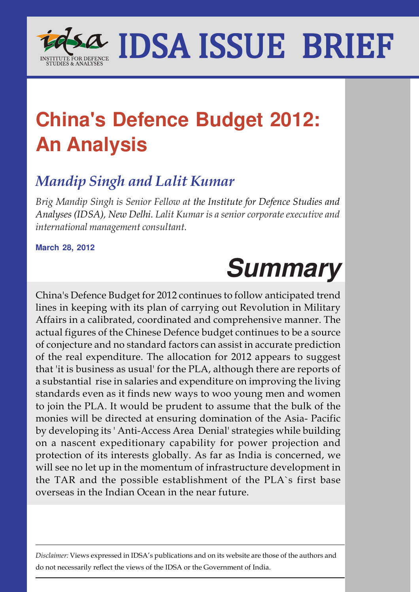

## **China's Defence Budget 2012: An Analysis**

### *Mandip Singh and Lalit Kumar*

*Brig Mandip Singh is Senior Fellow at the Institute for Defence Studies and Analyses (IDSA), New Delhi. Lalit Kumar is a senior corporate executive and international management consultant.*

**March 28, 2012**

# **Summary**

China's Defence Budget for 2012 continues to follow anticipated trend lines in keeping with its plan of carrying out Revolution in Military Affairs in a calibrated, coordinated and comprehensive manner. The actual figures of the Chinese Defence budget continues to be a source of conjecture and no standard factors can assist in accurate prediction of the real expenditure. The allocation for 2012 appears to suggest that 'it is business as usual' for the PLA, although there are reports of a substantial rise in salaries and expenditure on improving the living standards even as it finds new ways to woo young men and women to join the PLA. It would be prudent to assume that the bulk of the monies will be directed at ensuring domination of the Asia- Pacific by developing its ' Anti-Access Area Denial' strategies while building on a nascent expeditionary capability for power projection and protection of its interests globally. As far as India is concerned, we will see no let up in the momentum of infrastructure development in the TAR and the possible establishment of the PLA`s first base overseas in the Indian Ocean in the near future.

*Disclaimer:* Views expressed in IDSA's publications and on its website are those of the authors and do not necessarily reflect the views of the IDSA or the Government of India.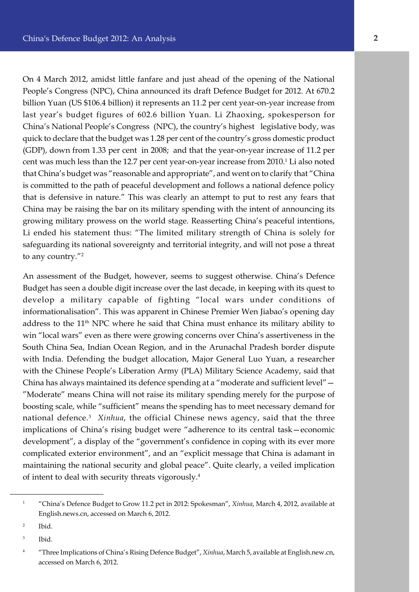quick to declare that the budget was 1.28 per cent of the country's gross domestic product On 4 March 2012, amidst little fanfare and just ahead of the opening of the National People's Congress (NPC), China announced its draft Defence Budget for 2012. At 670.2 billion Yuan (US \$106.4 billion) it represents an 11.2 per cent year-on-year increase from last year's budget figures of 602.6 billion Yuan. Li Zhaoxing, spokesperson for China's National People's Congress (NPC), the country's highest legislative body, was (GDP), down from 1.33 per cent in 2008; and that the year-on-year increase of 11.2 per cent was much less than the 12.7 per cent year-on-year increase from 2010. $^{\rm 1}$  Li also noted that China's budget was "reasonable and appropriate", and went on to clarify that "China is committed to the path of peaceful development and follows a national defence policy that is defensive in nature." This was clearly an attempt to put to rest any fears that China may be raising the bar on its military spending with the intent of announcing its growing military prowess on the world stage. Reasserting China's peaceful intentions, Li ended his statement thus: "The limited military strength of China is solely for safeguarding its national sovereignty and territorial integrity, and will not pose a threat to any country."<sup>2</sup>

An assessment of the Budget, however, seems to suggest otherwise. China's Defence Budget has seen a double digit increase over the last decade, in keeping with its quest to develop a military capable of fighting "local wars under conditions of informationalisation". This was apparent in Chinese Premier Wen Jiabao's opening day address to the 11<sup>th</sup> NPC where he said that China must enhance its military ability to win "local wars" even as there were growing concerns over China's assertiveness in the South China Sea, Indian Ocean Region, and in the Arunachal Pradesh border dispute with India. Defending the budget allocation, Major General Luo Yuan, a researcher with the Chinese People's Liberation Army (PLA) Military Science Academy, said that China has always maintained its defence spending at a "moderate and sufficient level"— "Moderate" means China will not raise its military spending merely for the purpose of boosting scale, while "sufficient" means the spending has to meet necessary demand for national defence.<sup>3</sup> *Xinhua*, the official Chinese news agency, said that the three implications of China's rising budget were "adherence to its central task—economic development", a display of the "government's confidence in coping with its ever more complicated exterior environment", and an "explicit message that China is adamant in maintaining the national security and global peace". Quite clearly, a veiled implication of intent to deal with security threats vigorously.<sup>4</sup>

<sup>1</sup> "China's Defence Budget to Grow 11.2 pct in 2012: Spokesman", *Xinhua*, March 4, 2012, available at English.news.cn, accessed on March 6, 2012.

<sup>2</sup> Ibid.

<sup>3</sup> Ibid.

<sup>4</sup> "Three Implications of China's Rising Defence Budget", *Xinhua*, March 5, available at English.new.cn, accessed on March 6, 2012.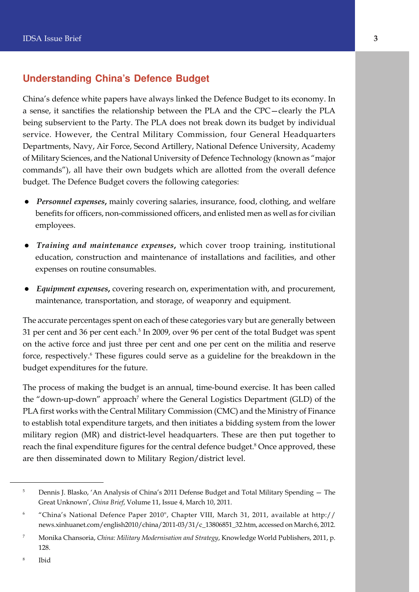#### **Understanding China's Defence Budget**

China's defence white papers have always linked the Defence Budget to its economy. In a sense, it sanctifies the relationship between the PLA and the CPC—clearly the PLA being subservient to the Party. The PLA does not break down its budget by individual service. However, the Central Military Commission, four General Headquarters Departments, Navy, Air Force, Second Artillery, National Defence University, Academy of Military Sciences, and the National University of Defence Technology (known as "major commands"), all have their own budgets which are allotted from the overall defence budget. The Defence Budget covers the following categories:

- **•** Personnel expenses, mainly covering salaries, insurance, food, clothing, and welfare benefits for officers, non-commissioned officers, and enlisted men as well as for civilian employees.
- l *Training and maintenance expenses***,** which cover troop training, institutional education, construction and maintenance of installations and facilities, and other expenses on routine consumables.
- l *Equipment expenses***,** covering research on, experimentation with, and procurement, maintenance, transportation, and storage, of weaponry and equipment.

The accurate percentages spent on each of these categories vary but are generally between 31 per cent and 36 per cent each. $^5$  In 2009, over 96 per cent of the total Budget was spent on the active force and just three per cent and one per cent on the militia and reserve force, respectively.<sup>6</sup> These figures could serve as a guideline for the breakdown in the budget expenditures for the future.

The process of making the budget is an annual, time-bound exercise. It has been called the "down-up-down" approach<sup>7</sup> where the General Logistics Department (GLD) of the PLA first works with the Central Military Commission (CMC) and the Ministry of Finance to establish total expenditure targets, and then initiates a bidding system from the lower military region (MR) and district-level headquarters. These are then put together to reach the final expenditure figures for the central defence budget.<sup>8</sup> Once approved, these are then disseminated down to Military Region/district level.

8 Ibid

<sup>&</sup>lt;sup>5</sup> Dennis J. Blasko, 'An Analysis of China's 2011 Defense Budget and Total Military Spending – The Great Unknown', *China Brief*, Volume 11, Issue 4, March 10, 2011.

<sup>6</sup> "China's National Defence Paper 2010", Chapter VIII, March 31, 2011, available at http:// news.xinhuanet.com/english2010/china/2011-03/31/c\_13806851\_32.htm, accessed on March 6, 2012.

<sup>7</sup> Monika Chansoria, *China: Military Modernisation and Strategy*, Knowledge World Publishers, 2011, p. 128.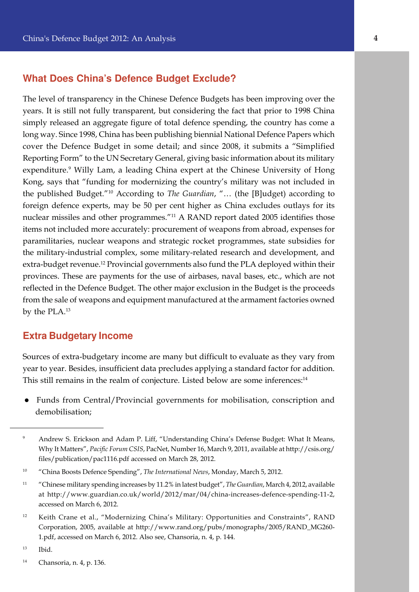#### **What Does China's Defence Budget Exclude?**

long way. Since 1998, China has been publishing biennial National Defence Papers which The level of transparency in the Chinese Defence Budgets has been improving over the years. It is still not fully transparent, but considering the fact that prior to 1998 China simply released an aggregate figure of total defence spending, the country has come a cover the Defence Budget in some detail; and since 2008, it submits a "Simplified Reporting Form" to the UN Secretary General, giving basic information about its military expenditure.<sup>9</sup> Willy Lam, a leading China expert at the Chinese University of Hong Kong, says that "funding for modernizing the country's military was not included in the published Budget."<sup>10</sup> According to *The Guardian*, "… (the [B]udget) according to foreign defence experts, may be 50 per cent higher as China excludes outlays for its nuclear missiles and other programmes."<sup>11</sup> A RAND report dated 2005 identifies those items not included more accurately: procurement of weapons from abroad, expenses for paramilitaries, nuclear weapons and strategic rocket programmes, state subsidies for the military-industrial complex, some military-related research and development, and extra-budget revenue.<sup>12</sup> Provincial governments also fund the PLA deployed within their provinces. These are payments for the use of airbases, naval bases, etc., which are not reflected in the Defence Budget. The other major exclusion in the Budget is the proceeds from the sale of weapons and equipment manufactured at the armament factories owned by the PLA.<sup>13</sup>

#### **Extra Budgetary Income**

Sources of extra-budgetary income are many but difficult to evaluate as they vary from year to year. Besides, insufficient data precludes applying a standard factor for addition. This still remains in the realm of conjecture. Listed below are some inferences:<sup>14</sup>

l Funds from Central/Provincial governments for mobilisation, conscription and demobilisation;

<sup>9</sup> Andrew S. Erickson and Adam P. Liff, "Understanding China's Defense Budget: What It Means, Why It Matters", *Pacific Forum CSIS*, PacNet, Number 16, March 9, 2011, available at http://csis.org/ files/publication/pac1116.pdf accessed on March 28, 2012.

<sup>10</sup> "China Boosts Defence Spending", *The International News*, Monday, March 5, 2012.

<sup>11</sup> "Chinese military spending increases by 11.2% in latest budget", *The Guardian*, March 4, 2012, available at http://www.guardian.co.uk/world/2012/mar/04/china-increases-defence-spending-11-2, accessed on March 6, 2012.

<sup>&</sup>lt;sup>12</sup> Keith Crane et al., "Modernizing China's Military: Opportunities and Constraints", RAND Corporation, 2005, available at http://www.rand.org/pubs/monographs/2005/RAND\_MG260- 1.pdf, accessed on March 6, 2012. Also see, Chansoria, n. 4, p. 144.

<sup>13</sup> Ibid.

<sup>14</sup> Chansoria, n. 4, p. 136.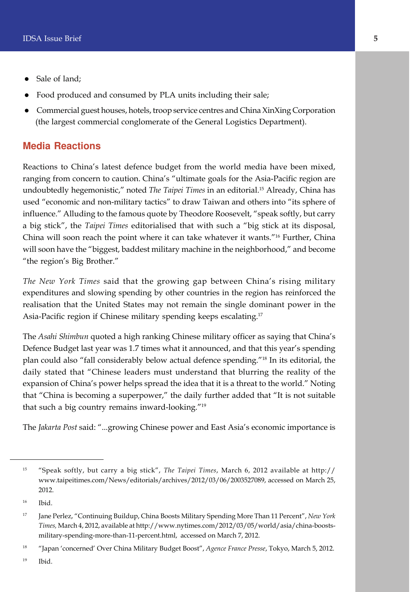- $\bullet$  Sale of land;
- l Food produced and consumed by PLA units including their sale;
- l Commercial guest houses, hotels, troop service centres and China XinXing Corporation (the largest commercial conglomerate of the General Logistics Department).

#### **Media Reactions**

Reactions to China's latest defence budget from the world media have been mixed, ranging from concern to caution. China's "ultimate goals for the Asia-Pacific region are undoubtedly hegemonistic," noted *The Taipei Times* in an editorial.<sup>15</sup> Already, China has used "economic and non-military tactics" to draw Taiwan and others into "its sphere of influence." Alluding to the famous quote by Theodore Roosevelt, "speak softly, but carry a big stick", the *Taipei Times* editorialised that with such a "big stick at its disposal, China will soon reach the point where it can take whatever it wants."<sup>16</sup> Further, China will soon have the "biggest, baddest military machine in the neighborhood," and become "the region's Big Brother."

*The New York Times* said that the growing gap between China's rising military expenditures and slowing spending by other countries in the region has reinforced the realisation that the United States may not remain the single dominant power in the Asia-Pacific region if Chinese military spending keeps escalating.<sup>17</sup>

The *Asahi Shimbun* quoted a high ranking Chinese military officer as saying that China's Defence Budget last year was 1.7 times what it announced, and that this year's spending plan could also "fall considerably below actual defence spending."<sup>18</sup> In its editorial, the daily stated that "Chinese leaders must understand that blurring the reality of the expansion of China's power helps spread the idea that it is a threat to the world." Noting that "China is becoming a superpower," the daily further added that "It is not suitable that such a big country remains inward-looking."<sup>19</sup>

The *Jakarta Post* said: "...growing Chinese power and East Asia's economic importance is

<sup>15</sup> "Speak softly, but carry a big stick", *The Taipei Times*, March 6, 2012 available at http:// www.taipeitimes.com/News/editorials/archives/2012/03/06/2003527089, accessed on March 25, 2012.

<sup>16</sup> Ibid.

<sup>17</sup> Jane Perlez, "Continuing Buildup, China Boosts Military Spending More Than 11 Percent", *New York Times,* March 4, 2012, available at http://www.nytimes.com/2012/03/05/world/asia/china-boostsmilitary-spending-more-than-11-percent.html, accessed on March 7, 2012.

<sup>18</sup> "Japan 'concerned' Over China Military Budget Boost", *Agence France Presse*, Tokyo, March 5, 2012.

<sup>19</sup> Ibid.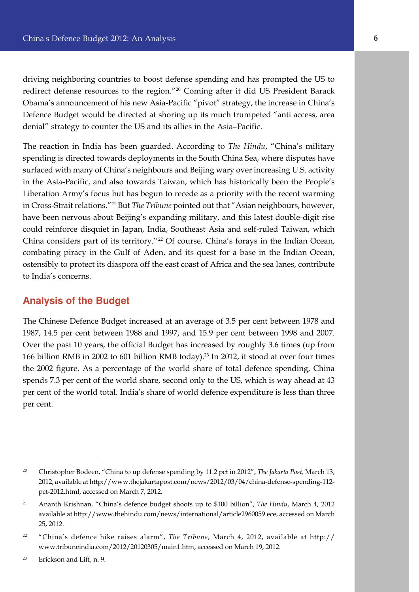driving neighboring countries to boost defense spending and has prompted the US to redirect defense resources to the region."<sup>20</sup> Coming after it did US President Barack Obama's announcement of his new Asia-Pacific "pivot" strategy, the increase in China's Defence Budget would be directed at shoring up its much trumpeted "anti access, area denial" strategy to counter the US and its allies in the Asia–Pacific.

The reaction in India has been guarded. According to *The Hindu*, "China's military spending is directed towards deployments in the South China Sea, where disputes have surfaced with many of China's neighbours and Beijing wary over increasing U.S. activity in the Asia-Pacific, and also towards Taiwan, which has historically been the People's Liberation Army's focus but has begun to recede as a priority with the recent warming in Cross-Strait relations."<sup>21</sup> But *The Tribune* pointed out that "Asian neighbours, however, have been nervous about Beijing's expanding military, and this latest double-digit rise could reinforce disquiet in Japan, India, Southeast Asia and self-ruled Taiwan, which China considers part of its territory."<sup>22</sup> Of course, China's forays in the Indian Ocean, combating piracy in the Gulf of Aden, and its quest for a base in the Indian Ocean, ostensibly to protect its diaspora off the east coast of Africa and the sea lanes, contribute to India's concerns.

#### **Analysis of the Budget**

The Chinese Defence Budget increased at an average of 3.5 per cent between 1978 and 1987, 14.5 per cent between 1988 and 1997, and 15.9 per cent between 1998 and 2007. Over the past 10 years, the official Budget has increased by roughly 3.6 times (up from 166 billion RMB in 2002 to 601 billion RMB today).<sup>23</sup> In 2012, it stood at over four times the 2002 figure. As a percentage of the world share of total defence spending, China spends 7.3 per cent of the world share, second only to the US, which is way ahead at 43 per cent of the world total. India's share of world defence expenditure is less than three per cent.

<sup>20</sup> Christopher Bodeen, "China to up defense spending by 11.2 pct in 2012", *The Jakarta Post,* March 13, 2012, available at http://www.thejakartapost.com/news/2012/03/04/china-defense-spending-112 pct-2012.html, accessed on March 7, 2012.

<sup>21</sup> Ananth Krishnan, "China's defence budget shoots up to \$100 billion", *The Hindu*, March 4, 2012 available at http://www.thehindu.com/news/international/article2960059.ece, accessed on March 25, 2012.

<sup>22</sup> "China's defence hike raises alarm", *The Tribune*, March 4, 2012, available at http:// www.tribuneindia.com/2012/20120305/main1.htm, accessed on March 19, 2012.

<sup>23</sup> Erickson and Liff, n. 9.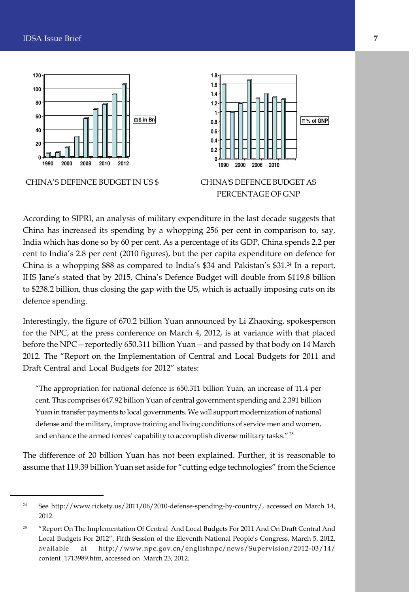

According to SIPRI, an analysis of military expenditure in the last decade suggests that China has increased its spending by a whopping 256 per cent in comparison to, say, India which has done so by 60 per cent. As a percentage of its GDP, China spends 2.2 per cent to India's 2.8 per cent (2010 figures), but the per capita expenditure on defence for China is a whopping \$88 as compared to India's \$34 and Pakistan's \$31.<sup>24</sup> In a report, IHS Jane's stated that by 2015, China's Defence Budget will double from \$119.8 billion to \$238.2 billion, thus closing the gap with the US, which is actually imposing cuts on its defence spending.

Interestingly, the figure of 670.2 billion Yuan announced by Li Zhaoxing, spokesperson for the NPC, at the press conference on March 4, 2012, is at variance with that placed before the NPC—reportedly 650.311 billion Yuan—and passed by that body on 14 March 2012. The "Report on the Implementation of Central and Local Budgets for 2011 and Draft Central and Local Budgets for 2012" states:

"The appropriation for national defence is 650.311 billion Yuan, an increase of 11.4 per cent. This comprises 647.92 billion Yuan of central government spending and 2.391 billion Yuan in transfer payments to local governments. We will support modernization of national defense and the military, improve training and living conditions of service men and women, and enhance the armed forces' capability to accomplish diverse military tasks."<sup>25</sup>

The difference of 20 billion Yuan has not been explained. Further, it is reasonable to assume that 119.39 billion Yuan set aside for "cutting edge technologies" from the Science

<sup>&</sup>lt;sup>24</sup> See http://www.rickety.us/2011/06/2010-defense-spending-by-country/, accessed on March 14, 2012.

<sup>&</sup>lt;sup>25</sup> "Report On The Implementation Of Central And Local Budgets For 2011 And On Draft Central And Local Budgets For 2012", Fifth Session of the Eleventh National People's Congress, March 5, 2012, available at http://www.npc.gov.cn/englishnpc/news/Supervision/2012-03/14/ content\_1713989.htm, accessed on March 23, 2012.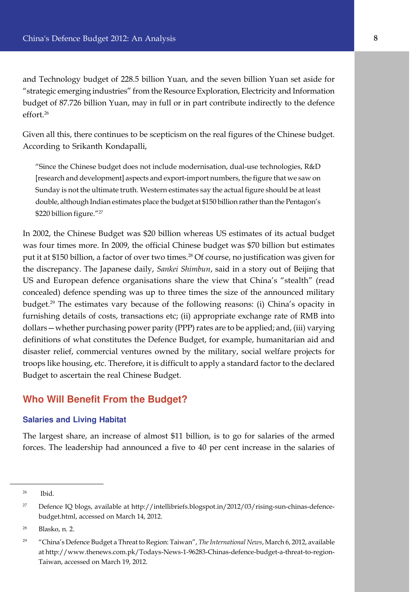and Technology budget of 228.5 billion Yuan, and the seven billion Yuan set aside for "strategic emerging industries" from the Resource Exploration, Electricity and Information budget of 87.726 billion Yuan, may in full or in part contribute indirectly to the defence effort.<sup>26</sup>

Given all this, there continues to be scepticism on the real figures of the Chinese budget. According to Srikanth Kondapalli,

"Since the Chinese budget does not include modernisation, dual-use technologies, R&D [research and development] aspects and export-import numbers, the figure that we saw on Sunday is not the ultimate truth. Western estimates say the actual figure should be at least double, although Indian estimates place the budget at \$150 billion rather than the Pentagon's \$220 billion figure."<sup>27</sup>

In 2002, the Chinese Budget was \$20 billion whereas US estimates of its actual budget was four times more. In 2009, the official Chinese budget was \$70 billion but estimates put it at \$150 billion, a factor of over two times.<sup>28</sup> Of course, no justification was given for the discrepancy. The Japanese daily, *Sankei Shimbun*, said in a story out of Beijing that US and European defence organisations share the view that China's "stealth" (read concealed) defence spending was up to three times the size of the announced military budget.<sup>29</sup> The estimates vary because of the following reasons: (i) China's opacity in furnishing details of costs, transactions etc; (ii) appropriate exchange rate of RMB into dollars—whether purchasing power parity (PPP) rates are to be applied; and, (iii) varying definitions of what constitutes the Defence Budget, for example, humanitarian aid and disaster relief, commercial ventures owned by the military, social welfare projects for troops like housing, etc. Therefore, it is difficult to apply a standard factor to the declared Budget to ascertain the real Chinese Budget.

#### **Who Will Benefit From the Budget?**

#### **Salaries and Living Habitat**

The largest share, an increase of almost \$11 billion, is to go for salaries of the armed forces. The leadership had announced a five to 40 per cent increase in the salaries of

<sup>26</sup> Ibid.

<sup>&</sup>lt;sup>27</sup> Defence IQ blogs, available at http://intellibriefs.blogspot.in/2012/03/rising-sun-chinas-defencebudget.html, accessed on March 14, 2012.

<sup>28</sup> Blasko, n. 2.

<sup>29</sup> "China's Defence Budget a Threat to Region: Taiwan", *The International News*, March 6, 2012, available at http://www.thenews.com.pk/Todays-News-1-96283-Chinas-defence-budget-a-threat-to-region-Taiwan, accessed on March 19, 2012.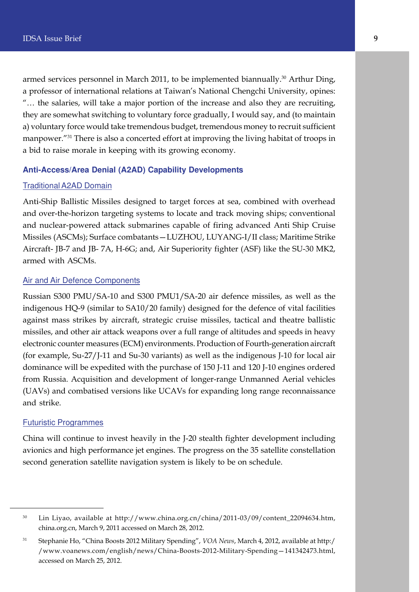armed services personnel in March 2011, to be implemented biannually.<sup>30</sup> Arthur Ding, a professor of international relations at Taiwan's National Chengchi University, opines: "… the salaries, will take a major portion of the increase and also they are recruiting, they are somewhat switching to voluntary force gradually, I would say, and (to maintain a) voluntary force would take tremendous budget, tremendous money to recruit sufficient manpower."<sup>31</sup> There is also a concerted effort at improving the living habitat of troops in a bid to raise morale in keeping with its growing economy.

#### **Anti-Access/Area Denial (A2AD) Capability Developments**

#### Traditional A2AD Domain

Anti-Ship Ballistic Missiles designed to target forces at sea, combined with overhead and over-the-horizon targeting systems to locate and track moving ships; conventional and nuclear-powered attack submarines capable of firing advanced Anti Ship Cruise Missiles (ASCMs); Surface combatants—LUZHOU, LUYANG-I/II class; Maritime Strike Aircraft- JB-7 and JB- 7A, H-6G; and, Air Superiority fighter (ASF) like the SU-30 MK2, armed with ASCMs.

#### Air and Air Defence Components

Russian S300 PMU/SA-10 and S300 PMU1/SA-20 air defence missiles, as well as the indigenous HQ-9 (similar to SA10/20 family) designed for the defence of vital facilities against mass strikes by aircraft, strategic cruise missiles, tactical and theatre ballistic missiles, and other air attack weapons over a full range of altitudes and speeds in heavy electronic counter measures (ECM) environments. Production of Fourth-generation aircraft (for example, Su-27/J-11 and Su-30 variants) as well as the indigenous J-10 for local air dominance will be expedited with the purchase of 150 J-11 and 120 J-10 engines ordered from Russia. Acquisition and development of longer-range Unmanned Aerial vehicles (UAVs) and combatised versions like UCAVs for expanding long range reconnaissance and strike.

#### Futuristic Programmes

China will continue to invest heavily in the J-20 stealth fighter development including avionics and high performance jet engines. The progress on the 35 satellite constellation second generation satellite navigation system is likely to be on schedule.

<sup>&</sup>lt;sup>30</sup> Lin Liyao, available at http://www.china.org.cn/china/2011-03/09/content\_22094634.htm, china.org.cn, March 9, 2011 accessed on March 28, 2012.

<sup>31</sup> Stephanie Ho, "China Boosts 2012 Military Spending", *VOA News*, March 4, 2012, available at http:/ /www.voanews.com/english/news/China-Boosts-2012-Military-Spending—141342473.html, accessed on March 25, 2012.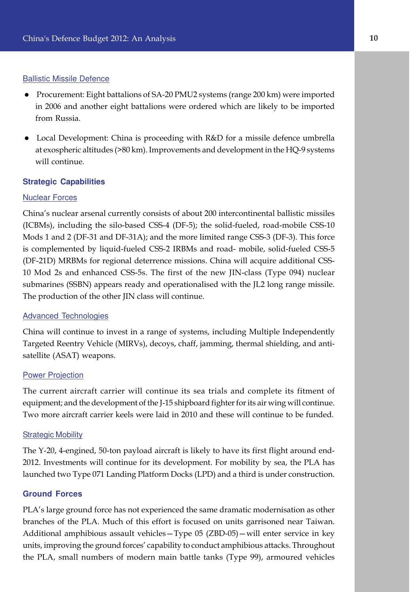#### Ballistic Missile Defence

- Procurement: Eight battalions of SA-20 PMU2 systems (range 200 km) were imported in 2006 and another eight battalions were ordered which are likely to be imported from Russia.
- e Local Development: China is proceeding with R&D for a missile defence umbrella at exospheric altitudes (>80 km). Improvements and development in the HQ-9 systems will continue.

#### **Strategic Capabilities**

#### Nuclear Forces

China's nuclear arsenal currently consists of about 200 intercontinental ballistic missiles (ICBMs), including the silo-based CSS-4 (DF-5); the solid-fueled, road-mobile CSS-10 Mods 1 and 2 (DF-31 and DF-31A); and the more limited range CSS-3 (DF-3). This force is complemented by liquid-fueled CSS-2 IRBMs and road- mobile, solid-fueled CSS-5 (DF-21D) MRBMs for regional deterrence missions. China will acquire additional CSS-10 Mod 2s and enhanced CSS-5s. The first of the new JIN-class (Type 094) nuclear submarines (SSBN) appears ready and operationalised with the JL2 long range missile. The production of the other JIN class will continue.

#### Advanced Technologies

China will continue to invest in a range of systems, including Multiple Independently Targeted Reentry Vehicle (MIRVs), decoys, chaff, jamming, thermal shielding, and antisatellite (ASAT) weapons.

#### Power Projection

The current aircraft carrier will continue its sea trials and complete its fitment of equipment; and the development of the J-15 shipboard fighter for its air wing will continue. Two more aircraft carrier keels were laid in 2010 and these will continue to be funded.

#### Strategic Mobility

The Y-20, 4-engined, 50-ton payload aircraft is likely to have its first flight around end-2012. Investments will continue for its development. For mobility by sea, the PLA has launched two Type 071 Landing Platform Docks (LPD) and a third is under construction.

#### **Ground Forces**

PLA's large ground force has not experienced the same dramatic modernisation as other branches of the PLA. Much of this effort is focused on units garrisoned near Taiwan. Additional amphibious assault vehicles—Type 05 (ZBD-05)—will enter service in key units, improving the ground forces' capability to conduct amphibious attacks. Throughout the PLA, small numbers of modern main battle tanks (Type 99), armoured vehicles